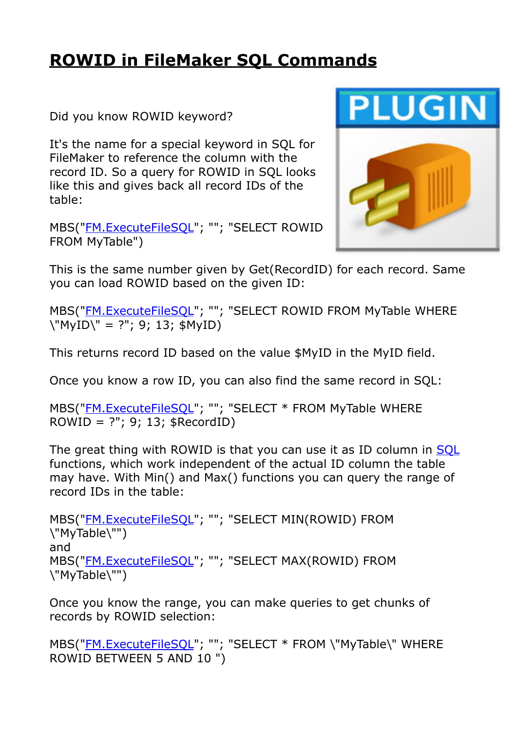## **[ROWID in FileMaker SQL Commands](https://www.mbs-plugins.com/archive/2018-12-15/ROWID_in_FileMaker_SQL_Command/monkeybreadsoftware_blog_filemaker)**

Did you know ROWID keyword?

It's the name for a special keyword in SQL for FileMaker to reference the column with the record ID. So a query for ROWID in SQL looks like this and gives back all record IDs of the table:

MBS(["FM.ExecuteFileSQL](http://www.mbsplugins.eu/FMExecuteFileSQL.shtml)"; ""; "SELECT ROWID FROM MyTable")



This is the same number given by Get(RecordID) for each record. Same you can load ROWID based on the given ID:

MBS(["FM.ExecuteFileSQL](http://www.mbsplugins.eu/FMExecuteFileSQL.shtml)"; ""; "SELECT ROWID FROM MyTable WHERE \"MyID\" = ?"; 9; 13; \$MyID)

This returns record ID based on the value \$MyID in the MyID field.

Once you know a row ID, you can also find the same record in SQL:

MBS(["FM.ExecuteFileSQL](http://www.mbsplugins.eu/FMExecuteFileSQL.shtml)"; ""; "SELECT \* FROM MyTable WHERE  $ROWID = ?"$ ; 9; 13;  $$RecordID$ )

The great thing with ROWID is that you can use it as ID column in [SQL](http://www.mbsplugins.eu/component_SQL.shtml) functions, which work independent of the actual ID column the table may have. With Min() and Max() functions you can query the range of record IDs in the table:

MBS(["FM.ExecuteFileSQL](http://www.mbsplugins.eu/FMExecuteFileSQL.shtml)"; ""; "SELECT MIN(ROWID) FROM \"MyTable\"") and MBS(["FM.ExecuteFileSQL](http://www.mbsplugins.eu/FMExecuteFileSQL.shtml)"; ""; "SELECT MAX(ROWID) FROM \"MyTable\"")

Once you know the range, you can make queries to get chunks of records by ROWID selection:

MBS(["FM.ExecuteFileSQL](http://www.mbsplugins.eu/FMExecuteFileSQL.shtml)"; ""; "SELECT \* FROM \"MyTable\" WHERE ROWID BETWEEN 5 AND 10 ")